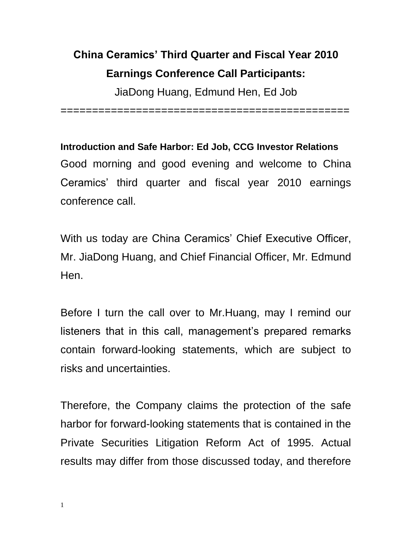## **China Ceramics' Third Quarter and Fiscal Year 2010 Earnings Conference Call Participants:**

JiaDong Huang, Edmund Hen, Ed Job

==============================================

**Introduction and Safe Harbor: Ed Job, CCG Investor Relations** Good morning and good evening and welcome to China Ceramics' third quarter and fiscal year 2010 earnings conference call.

With us today are China Ceramics' Chief Executive Officer, Mr. JiaDong Huang, and Chief Financial Officer, Mr. Edmund Hen.

Before I turn the call over to Mr.Huang, may I remind our listeners that in this call, management's prepared remarks contain forward-looking statements, which are subject to risks and uncertainties.

Therefore, the Company claims the protection of the safe harbor for forward-looking statements that is contained in the Private Securities Litigation Reform Act of 1995. Actual results may differ from those discussed today, and therefore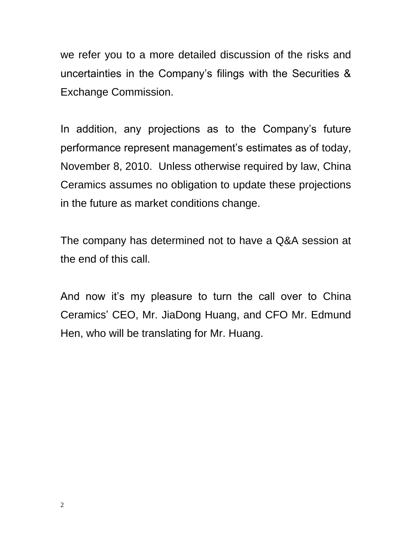we refer you to a more detailed discussion of the risks and uncertainties in the Company's filings with the Securities & Exchange Commission.

In addition, any projections as to the Company's future performance represent management's estimates as of today, November 8, 2010. Unless otherwise required by law, China Ceramics assumes no obligation to update these projections in the future as market conditions change.

The company has determined not to have a Q&A session at the end of this call.

And now it's my pleasure to turn the call over to China Ceramics' CEO, Mr. JiaDong Huang, and CFO Mr. Edmund Hen, who will be translating for Mr. Huang.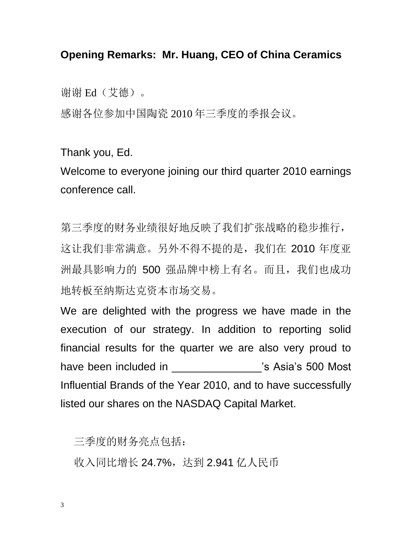## **Opening Remarks: Mr. Huang, CEO of China Ceramics**

谢谢 Ed(艾德)。

感谢各位参加中国陶瓷 2010 年三季度的季报会议。

Thank you, Ed.

Welcome to everyone joining our third quarter 2010 earnings conference call.

第三季度的财务业绩很好地反映了我们扩张战略的稳步推行, 这让我们非常满意。另外不得不提的是,我们在 2010 年度亚 洲最具影响力的 500 强品牌中榜上有名。而且,我们也成功 地转板至纳斯达克资本市场交易。

We are delighted with the progress we have made in the execution of our strategy. In addition to reporting solid financial results for the quarter we are also very proud to have been included in \_\_\_\_\_\_\_\_\_\_\_\_\_\_\_\_'s Asia's 500 Most Influential Brands of the Year 2010, and to have successfully listed our shares on the NASDAQ Capital Market.

三季度的财务亮点包括:

收入同比增长 24.7%, 达到 2.941 亿人民币

3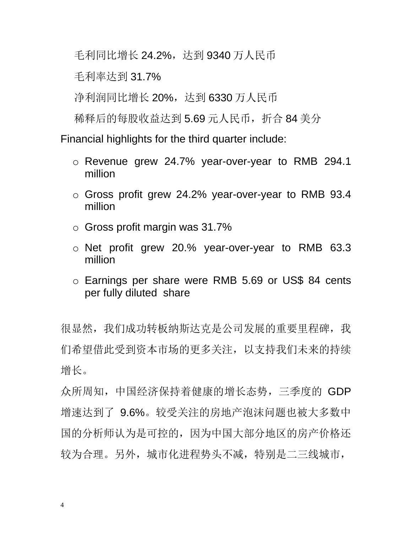毛利同比增长 24.2%, 达到 9340 万人民币

毛利率达到 31.7%

净利润同比增长 20%,达到 6330 万人民币

稀释后的每股收益达到 5.69 元人民币,折合 84 美分

Financial highlights for the third quarter include:

- o Revenue grew 24.7% year-over-year to RMB 294.1 million
- o Gross profit grew 24.2% year-over-year to RMB 93.4 million
- o Gross profit margin was 31.7%
- o Net profit grew 20.% year-over-year to RMB 63.3 million
- o Earnings per share were RMB 5.69 or US\$ 84 cents per fully diluted share

很显然,我们成功转板纳斯达克是公司发展的重要里程碑,我 们希望借此受到资本市场的更多关注,以支持我们未来的持续 增长。

众所周知,中国经济保持着健康的增长态势,三季度的 GDP 增速达到了 9.6%。较受关注的房地产泡沫问题也被大多数中 国的分析师认为是可控的,因为中国大部分地区的房产价格还 较为合理。另外,城市化进程势头不减,特别是二三线城市,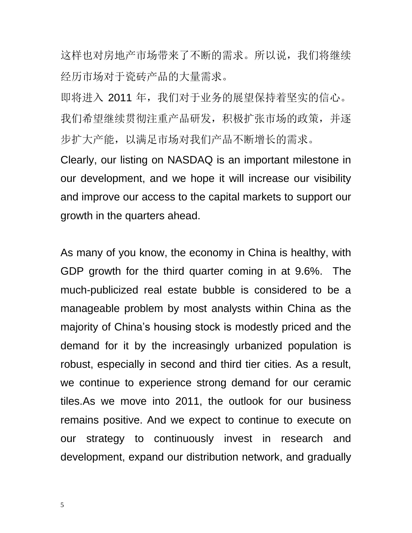这样也对房地产市场带来了不断的需求。所以说,我们将继续 经历市场对于瓷砖产品的大量需求。

即将进入 2011 年, 我们对于业务的展望保持着坚实的信心。 我们希望继续贯彻注重产品研发,积极扩张市场的政策,并逐 步扩大产能,以满足市场对我们产品不断增长的需求。

Clearly, our listing on NASDAQ is an important milestone in our development, and we hope it will increase our visibility and improve our access to the capital markets to support our growth in the quarters ahead.

As many of you know, the economy in China is healthy, with GDP growth for the third quarter coming in at 9.6%. The much-publicized real estate bubble is considered to be a manageable problem by most analysts within China as the majority of China's housing stock is modestly priced and the demand for it by the increasingly urbanized population is robust, especially in second and third tier cities. As a result, we continue to experience strong demand for our ceramic tiles.As we move into 2011, the outlook for our business remains positive. And we expect to continue to execute on our strategy to continuously invest in research and development, expand our distribution network, and gradually

5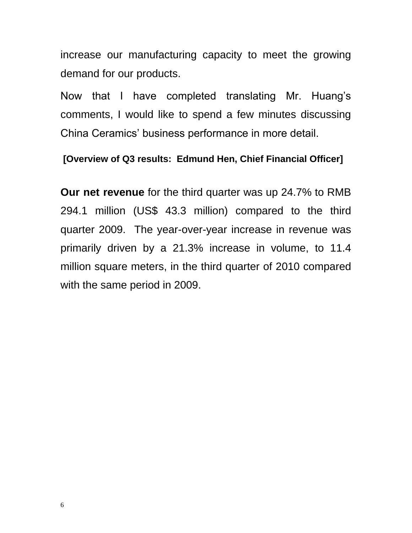increase our manufacturing capacity to meet the growing demand for our products.

Now that I have completed translating Mr. Huang's comments, I would like to spend a few minutes discussing China Ceramics' business performance in more detail.

## **[Overview of Q3 results: Edmund Hen, Chief Financial Officer]**

**Our net revenue** for the third quarter was up 24.7% to RMB 294.1 million (US\$ 43.3 million) compared to the third quarter 2009. The year-over-year increase in revenue was primarily driven by a 21.3% increase in volume, to 11.4 million square meters, in the third quarter of 2010 compared with the same period in 2009.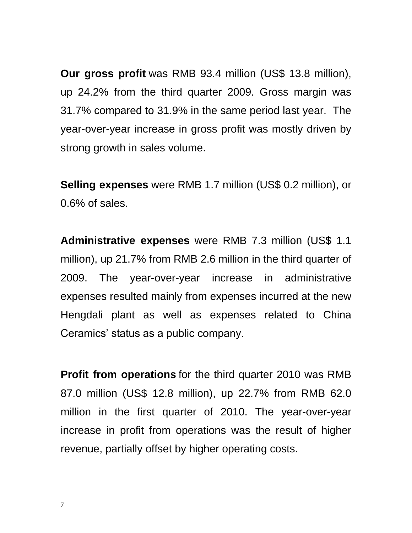**Our gross profit** was RMB 93.4 million (US\$ 13.8 million), up 24.2% from the third quarter 2009. Gross margin was 31.7% compared to 31.9% in the same period last year. The year-over-year increase in gross profit was mostly driven by strong growth in sales volume.

**Selling expenses** were RMB 1.7 million (US\$ 0.2 million), or 0.6% of sales.

**Administrative expenses** were RMB 7.3 million (US\$ 1.1 million), up 21.7% from RMB 2.6 million in the third quarter of 2009. The year-over-year increase in administrative expenses resulted mainly from expenses incurred at the new Hengdali plant as well as expenses related to China Ceramics' status as a public company.

**Profit from operations** for the third quarter 2010 was RMB 87.0 million (US\$ 12.8 million), up 22.7% from RMB 62.0 million in the first quarter of 2010. The year-over-year increase in profit from operations was the result of higher revenue, partially offset by higher operating costs.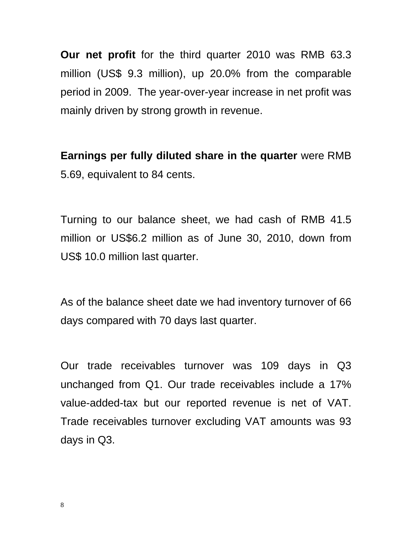**Our net profit** for the third quarter 2010 was RMB 63.3 million (US\$ 9.3 million), up 20.0% from the comparable period in 2009. The year-over-year increase in net profit was mainly driven by strong growth in revenue.

**Earnings per fully diluted share in the quarter** were RMB 5.69, equivalent to 84 cents.

Turning to our balance sheet, we had cash of RMB 41.5 million or US\$6.2 million as of June 30, 2010, down from US\$ 10.0 million last quarter.

As of the balance sheet date we had inventory turnover of 66 days compared with 70 days last quarter.

Our trade receivables turnover was 109 days in Q3 unchanged from Q1. Our trade receivables include a 17% value-added-tax but our reported revenue is net of VAT. Trade receivables turnover excluding VAT amounts was 93 days in Q3.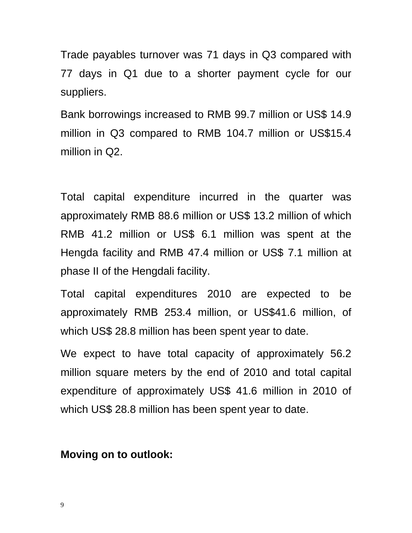Trade payables turnover was 71 days in Q3 compared with 77 days in Q1 due to a shorter payment cycle for our suppliers.

Bank borrowings increased to RMB 99.7 million or US\$ 14.9 million in Q3 compared to RMB 104.7 million or US\$15.4 million in Q2.

Total capital expenditure incurred in the quarter was approximately RMB 88.6 million or US\$ 13.2 million of which RMB 41.2 million or US\$ 6.1 million was spent at the Hengda facility and RMB 47.4 million or US\$ 7.1 million at phase II of the Hengdali facility.

Total capital expenditures 2010 are expected to be approximately RMB 253.4 million, or US\$41.6 million, of which US\$ 28.8 million has been spent year to date.

We expect to have total capacity of approximately 56.2 million square meters by the end of 2010 and total capital expenditure of approximately US\$ 41.6 million in 2010 of which US\$ 28.8 million has been spent year to date.

## **Moving on to outlook:**